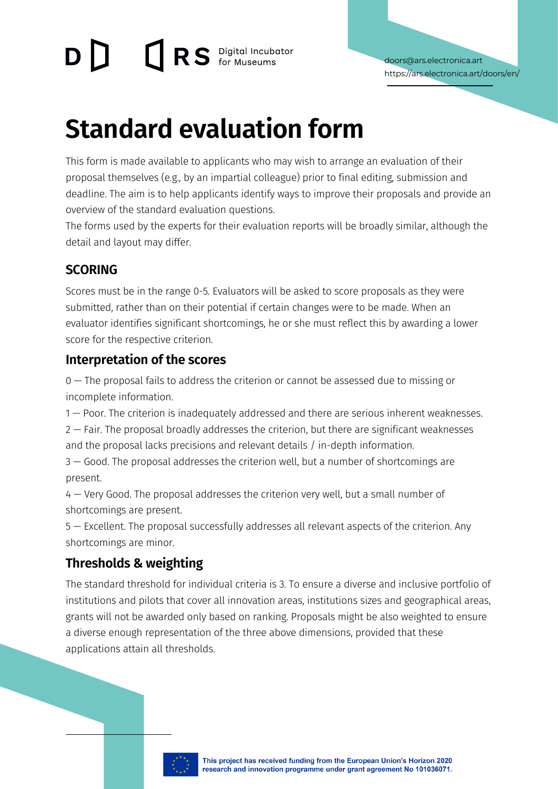# **DRS** Digital Incubator

# **Standard evaluation form**

This form is made available to applicants who may wish to arrange an evaluation of their proposal themselves (e.g., by an impartial colleague) prior to final editing, submission and deadline. The aim is to help applicants identify ways to improve their proposals and provide an overview of the standard evaluation questions.

The forms used by the experts for their evaluation reports will be broadly similar, although the detail and layout may differ.

### **SCORING**

Scores must be in the range 0-5. Evaluators will be asked to score proposals as they were submitted, rather than on their potential if certain changes were to be made. When an evaluator identifies significant shortcomings, he or she must reflect this by awarding a lower score for the respective criterion.

### **Interpretation of the scores**

0 — The proposal fails to address the criterion or cannot be assessed due to missing or incomplete information.

1 — Poor. The criterion is inadequately addressed and there are serious inherent weaknesses. 2 — Fair. The proposal broadly addresses the criterion, but there are significant weaknesses and the proposal lacks precisions and relevant details / in-depth information.

3 — Good. The proposal addresses the criterion well, but a number of shortcomings are present.

4 — Very Good. The proposal addresses the criterion very well, but a small number of shortcomings are present.

5 — Excellent. The proposal successfully addresses all relevant aspects of the criterion. Any shortcomings are minor.

## **Thresholds & weighting**

The standard threshold for individual criteria is 3. To ensure a diverse and inclusive portfolio of institutions and pilots that cover all innovation areas, institutions sizes and geographical areas, grants will not be awarded only based on ranking. Proposals might be also weighted to ensure a diverse enough representation of the three above dimensions, provided that these applications attain all thresholds.